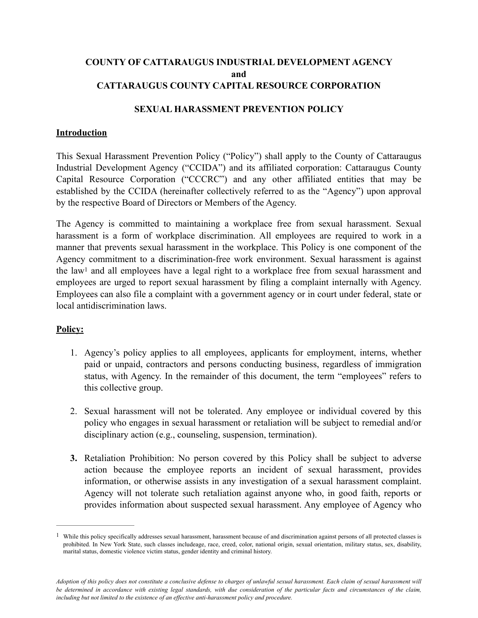# **COUNTY OF CATTARAUGUS INDUSTRIAL DEVELOPMENT AGENCY and CATTARAUGUS COUNTY CAPITAL RESOURCE CORPORATION**

#### **SEXUAL HARASSMENT PREVENTION POLICY**

#### **Introduction**

This Sexual Harassment Prevention Policy ("Policy") shall apply to the County of Cattaraugus Industrial Development Agency ("CCIDA") and its affiliated corporation: Cattaraugus County Capital Resource Corporation ("CCCRC") and any other affiliated entities that may be established by the CCIDA (hereinafter collectively referred to as the "Agency") upon approval by the respective Board of Directors or Members of the Agency.

<span id="page-0-1"></span>The Agency is committed to maintaining a workplace free from sexual harassment. Sexual harassment is a form of workplace discrimination. All employees are required to work in a manner that prevents sexual harassment in the workplace. This Policy is one component of the Agency commitment to a discrimination-free work environment. Sexual harassment is against the la[w](#page-0-0)<sup>[1](#page-0-0)</sup> and all employees have a legal right to a workplace free from sexual harassment and employees are urged to report sexual harassment by filing a complaint internally with Agency. Employees can also file a complaint with a government agency or in court under federal, state or local antidiscrimination laws.

### **Policy:**

- 1. Agency's policy applies to all employees, applicants for employment, interns, whether paid or unpaid, contractors and persons conducting business, regardless of immigration status, with Agency. In the remainder of this document, the term "employees" refers to this collective group.
- 2. Sexual harassment will not be tolerated. Any employee or individual covered by this policy who engages in sexual harassment or retaliation will be subject to remedial and/or disciplinary action (e.g., counseling, suspension, termination).
- **3.** Retaliation Prohibition: No person covered by this Policy shall be subject to adverse action because the employee reports an incident of sexual harassment, provides information, or otherwise assists in any investigation of a sexual harassment complaint. Agency will not tolerate such retaliation against anyone who, in good faith, reports or provides information about suspected sexual harassment. Any employee of Agency who

<span id="page-0-0"></span><sup>&</sup>lt;sup>[1](#page-0-1)</sup> While this policy specifically addresses sexual harassment, harassment because of and discrimination against persons of all protected classes is prohibited. In New York State, such classes includeage, race, creed, color, national origin, sexual orientation, military status, sex, disability, marital status, domestic violence victim status, gender identity and criminal history.

*Adoption of this policy does not constitute a conclusive defense to charges of unlawful sexual harassment. Each claim of sexual harassment will be determined in accordance with existing legal standards, with due consideration of the particular facts and circumstances of the claim, including but not limited to the existence of an effective anti-harassment policy and procedure.*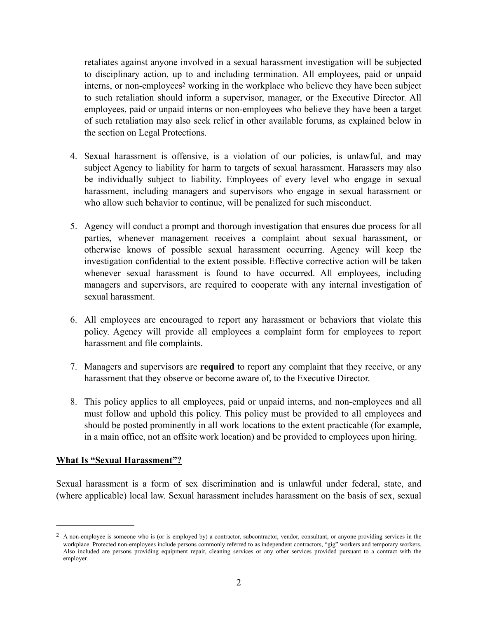<span id="page-1-1"></span>retaliates against anyone involved in a sexual harassment investigation will be subjected to disciplinary action, up to and including termination. All employees, paid or unpaid interns,or non-employees<sup>[2](#page-1-0)</sup> working in the workplace who believe they have been subject to such retaliation should inform a supervisor, manager, or the Executive Director. All employees, paid or unpaid interns or non-employees who believe they have been a target of such retaliation may also seek relief in other available forums, as explained below in the section on Legal Protections.

- 4. Sexual harassment is offensive, is a violation of our policies, is unlawful, and may subject Agency to liability for harm to targets of sexual harassment. Harassers may also be individually subject to liability. Employees of every level who engage in sexual harassment, including managers and supervisors who engage in sexual harassment or who allow such behavior to continue, will be penalized for such misconduct.
- 5. Agency will conduct a prompt and thorough investigation that ensures due process for all parties, whenever management receives a complaint about sexual harassment, or otherwise knows of possible sexual harassment occurring. Agency will keep the investigation confidential to the extent possible. Effective corrective action will be taken whenever sexual harassment is found to have occurred. All employees, including managers and supervisors, are required to cooperate with any internal investigation of sexual harassment.
- 6. All employees are encouraged to report any harassment or behaviors that violate this policy. Agency will provide all employees a complaint form for employees to report harassment and file complaints.
- 7. Managers and supervisors are **required** to report any complaint that they receive, or any harassment that they observe or become aware of, to the Executive Director.
- 8. This policy applies to all employees, paid or unpaid interns, and non-employees and all must follow and uphold this policy. This policy must be provided to all employees and should be posted prominently in all work locations to the extent practicable (for example, in a main office, not an offsite work location) and be provided to employees upon hiring.

#### **What Is "Sexual Harassment"?**

Sexual harassment is a form of sex discrimination and is unlawful under federal, state, and (where applicable) local law. Sexual harassment includes harassment on the basis of sex, sexual

<span id="page-1-0"></span><sup>&</sup>lt;sup>[2](#page-1-1)</sup> A non-employee is someone who is (or is employed by) a contractor, subcontractor, vendor, consultant, or anyone providing services in the workplace. Protected non-employees include persons commonly referred to as independent contractors, "gig" workers and temporary workers. Also included are persons providing equipment repair, cleaning services or any other services provided pursuant to a contract with the employer.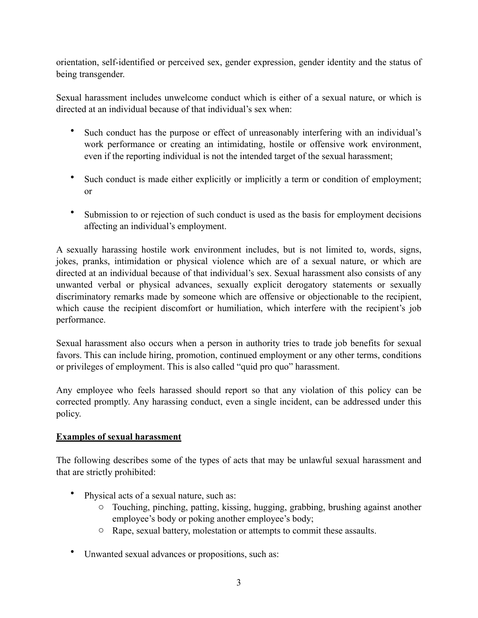orientation, self-identified or perceived sex, gender expression, gender identity and the status of being transgender.

Sexual harassment includes unwelcome conduct which is either of a sexual nature, or which is directed at an individual because of that individual's sex when:

- Such conduct has the purpose or effect of unreasonably interfering with an individual's work performance or creating an intimidating, hostile or offensive work environment, even if the reporting individual is not the intended target of the sexual harassment;
- Such conduct is made either explicitly or implicitly a term or condition of employment; or
- Submission to or rejection of such conduct is used as the basis for employment decisions affecting an individual's employment.

A sexually harassing hostile work environment includes, but is not limited to, words, signs, jokes, pranks, intimidation or physical violence which are of a sexual nature, or which are directed at an individual because of that individual's sex. Sexual harassment also consists of any unwanted verbal or physical advances, sexually explicit derogatory statements or sexually discriminatory remarks made by someone which are offensive or objectionable to the recipient, which cause the recipient discomfort or humiliation, which interfere with the recipient's job performance.

Sexual harassment also occurs when a person in authority tries to trade job benefits for sexual favors. This can include hiring, promotion, continued employment or any other terms, conditions or privileges of employment. This is also called "quid pro quo" harassment.

Any employee who feels harassed should report so that any violation of this policy can be corrected promptly. Any harassing conduct, even a single incident, can be addressed under this policy.

# **Examples of sexual harassment**

The following describes some of the types of acts that may be unlawful sexual harassment and that are strictly prohibited:

- Physical acts of a sexual nature, such as:
	- o Touching, pinching, patting, kissing, hugging, grabbing, brushing against another employee's body or poking another employee's body;
	- o Rape, sexual battery, molestation or attempts to commit these assaults.
- Unwanted sexual advances or propositions, such as: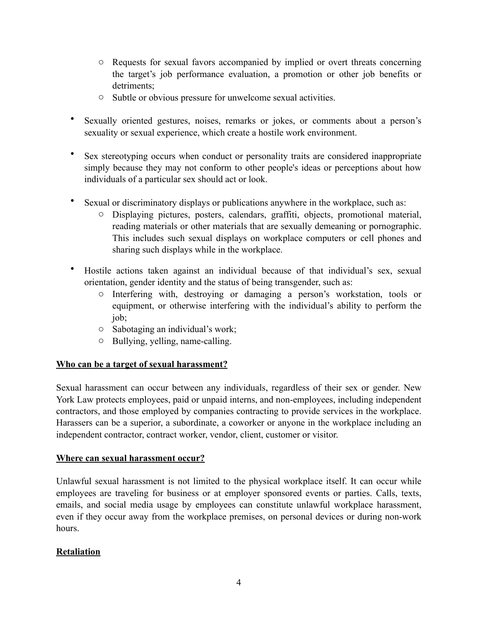- o Requests for sexual favors accompanied by implied or overt threats concerning the target's job performance evaluation, a promotion or other job benefits or detriments;
- o Subtle or obvious pressure for unwelcome sexual activities.
- Sexually oriented gestures, noises, remarks or jokes, or comments about a person's sexuality or sexual experience, which create a hostile work environment.
- Sex stereotyping occurs when conduct or personality traits are considered inappropriate simply because they may not conform to other people's ideas or perceptions about how individuals of a particular sex should act or look.
- Sexual or discriminatory displays or publications anywhere in the workplace, such as:
	- o Displaying pictures, posters, calendars, graffiti, objects, promotional material, reading materials or other materials that are sexually demeaning or pornographic. This includes such sexual displays on workplace computers or cell phones and sharing such displays while in the workplace.
- Hostile actions taken against an individual because of that individual's sex, sexual orientation, gender identity and the status of being transgender, such as:
	- o Interfering with, destroying or damaging a person's workstation, tools or equipment, or otherwise interfering with the individual's ability to perform the job;
	- o Sabotaging an individual's work;
	- o Bullying, yelling, name-calling.

### **Who can be a target of sexual harassment?**

Sexual harassment can occur between any individuals, regardless of their sex or gender. New York Law protects employees, paid or unpaid interns, and non-employees, including independent contractors, and those employed by companies contracting to provide services in the workplace. Harassers can be a superior, a subordinate, a coworker or anyone in the workplace including an independent contractor, contract worker, vendor, client, customer or visitor.

### **Where can sexual harassment occur?**

Unlawful sexual harassment is not limited to the physical workplace itself. It can occur while employees are traveling for business or at employer sponsored events or parties. Calls, texts, emails, and social media usage by employees can constitute unlawful workplace harassment, even if they occur away from the workplace premises, on personal devices or during non-work hours.

### **Retaliation**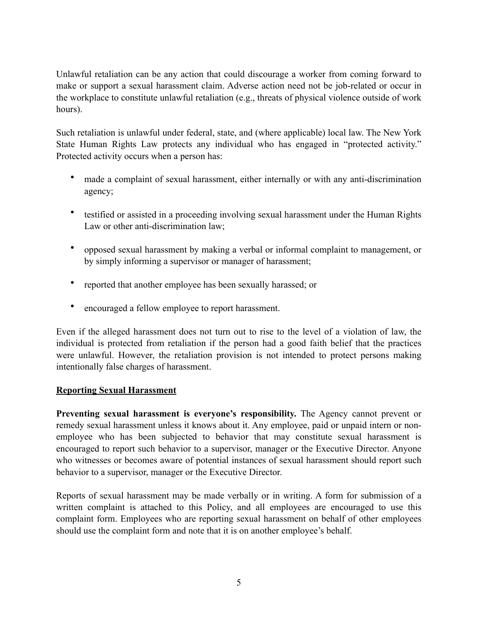Unlawful retaliation can be any action that could discourage a worker from coming forward to make or support a sexual harassment claim. Adverse action need not be job-related or occur in the workplace to constitute unlawful retaliation (e.g., threats of physical violence outside of work hours).

Such retaliation is unlawful under federal, state, and (where applicable) local law. The New York State Human Rights Law protects any individual who has engaged in "protected activity." Protected activity occurs when a person has:

- made a complaint of sexual harassment, either internally or with any anti-discrimination agency;
- testified or assisted in a proceeding involving sexual harassment under the Human Rights Law or other anti-discrimination law;
- opposed sexual harassment by making a verbal or informal complaint to management, or by simply informing a supervisor or manager of harassment;
- reported that another employee has been sexually harassed; or
- encouraged a fellow employee to report harassment.

Even if the alleged harassment does not turn out to rise to the level of a violation of law, the individual is protected from retaliation if the person had a good faith belief that the practices were unlawful. However, the retaliation provision is not intended to protect persons making intentionally false charges of harassment.

### **Reporting Sexual Harassment**

**Preventing sexual harassment is everyone's responsibility.** The Agency cannot prevent or remedy sexual harassment unless it knows about it. Any employee, paid or unpaid intern or nonemployee who has been subjected to behavior that may constitute sexual harassment is encouraged to report such behavior to a supervisor, manager or the Executive Director. Anyone who witnesses or becomes aware of potential instances of sexual harassment should report such behavior to a supervisor, manager or the Executive Director.

Reports of sexual harassment may be made verbally or in writing. A form for submission of a written complaint is attached to this Policy, and all employees are encouraged to use this complaint form. Employees who are reporting sexual harassment on behalf of other employees should use the complaint form and note that it is on another employee's behalf.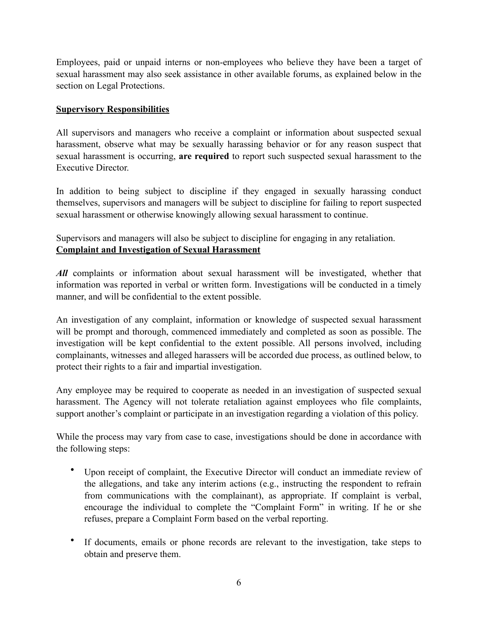Employees, paid or unpaid interns or non-employees who believe they have been a target of sexual harassment may also seek assistance in other available forums, as explained below in the section on Legal Protections.

### **Supervisory Responsibilities**

All supervisors and managers who receive a complaint or information about suspected sexual harassment, observe what may be sexually harassing behavior or for any reason suspect that sexual harassment is occurring, **are required** to report such suspected sexual harassment to the Executive Director.

In addition to being subject to discipline if they engaged in sexually harassing conduct themselves, supervisors and managers will be subject to discipline for failing to report suspected sexual harassment or otherwise knowingly allowing sexual harassment to continue.

Supervisors and managers will also be subject to discipline for engaging in any retaliation. **Complaint and Investigation of Sexual Harassment**

*All* complaints or information about sexual harassment will be investigated, whether that information was reported in verbal or written form. Investigations will be conducted in a timely manner, and will be confidential to the extent possible.

An investigation of any complaint, information or knowledge of suspected sexual harassment will be prompt and thorough, commenced immediately and completed as soon as possible. The investigation will be kept confidential to the extent possible. All persons involved, including complainants, witnesses and alleged harassers will be accorded due process, as outlined below, to protect their rights to a fair and impartial investigation.

Any employee may be required to cooperate as needed in an investigation of suspected sexual harassment. The Agency will not tolerate retaliation against employees who file complaints, support another's complaint or participate in an investigation regarding a violation of this policy.

While the process may vary from case to case, investigations should be done in accordance with the following steps:

- Upon receipt of complaint, the Executive Director will conduct an immediate review of the allegations, and take any interim actions (e.g., instructing the respondent to refrain from communications with the complainant), as appropriate. If complaint is verbal, encourage the individual to complete the "Complaint Form" in writing. If he or she refuses, prepare a Complaint Form based on the verbal reporting.
- If documents, emails or phone records are relevant to the investigation, take steps to obtain and preserve them.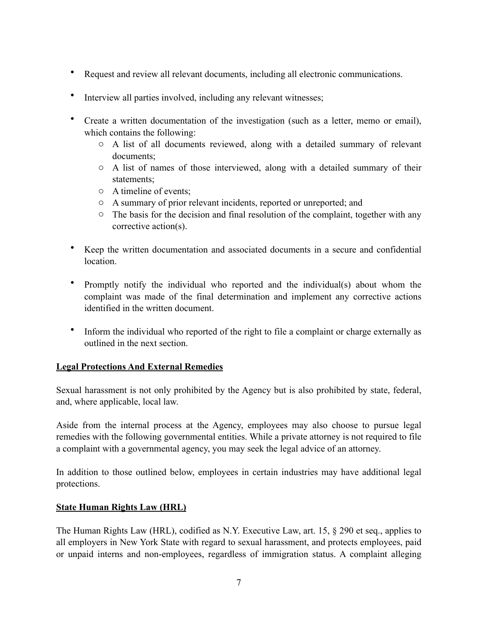- Request and review all relevant documents, including all electronic communications.
- Interview all parties involved, including any relevant witnesses;
- Create a written documentation of the investigation (such as a letter, memo or email), which contains the following:
	- o A list of all documents reviewed, along with a detailed summary of relevant documents;
	- o A list of names of those interviewed, along with a detailed summary of their statements<sup>;</sup>
	- o A timeline of events;
	- o A summary of prior relevant incidents, reported or unreported; and
	- $\circ$  The basis for the decision and final resolution of the complaint, together with any corrective action(s).
- Keep the written documentation and associated documents in a secure and confidential location.
- Promptly notify the individual who reported and the individual(s) about whom the complaint was made of the final determination and implement any corrective actions identified in the written document.
- Inform the individual who reported of the right to file a complaint or charge externally as outlined in the next section.

### **Legal Protections And External Remedies**

Sexual harassment is not only prohibited by the Agency but is also prohibited by state, federal, and, where applicable, local law.

Aside from the internal process at the Agency, employees may also choose to pursue legal remedies with the following governmental entities. While a private attorney is not required to file a complaint with a governmental agency, you may seek the legal advice of an attorney.

In addition to those outlined below, employees in certain industries may have additional legal protections.

### **State Human Rights Law (HRL)**

The Human Rights Law (HRL), codified as N.Y. Executive Law, art. 15, § 290 et seq., applies to all employers in New York State with regard to sexual harassment, and protects employees, paid or unpaid interns and non-employees, regardless of immigration status. A complaint alleging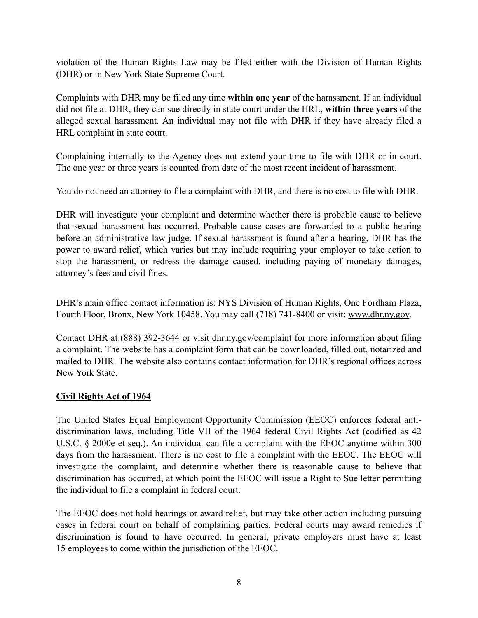violation of the Human Rights Law may be filed either with the Division of Human Rights (DHR) or in New York State Supreme Court.

Complaints with DHR may be filed any time **within one year** of the harassment. If an individual did not file at DHR, they can sue directly in state court under the HRL, **within three years** of the alleged sexual harassment. An individual may not file with DHR if they have already filed a HRL complaint in state court.

Complaining internally to the Agency does not extend your time to file with DHR or in court. The one year or three years is counted from date of the most recent incident of harassment.

You do not need an attorney to file a complaint with DHR, and there is no cost to file with DHR.

DHR will investigate your complaint and determine whether there is probable cause to believe that sexual harassment has occurred. Probable cause cases are forwarded to a public hearing before an administrative law judge. If sexual harassment is found after a hearing, DHR has the power to award relief, which varies but may include requiring your employer to take action to stop the harassment, or redress the damage caused, including paying of monetary damages, attorney's fees and civil fines.

DHR's main office contact information is: NYS Division of Human Rights, One Fordham Plaza, Fourth Floor, Bronx, New York 10458. You may call (718) 741-8400 or visit: [www.dhr.ny.gov.](http://www.dhr.ny.gov)

Contact DHR at (888) 392-3644 or visit [dhr.ny.gov/complaint](https://dhr.ny.gov/complaint) for more information about filing a complaint. The website has a complaint form that can be downloaded, filled out, notarized and mailed to DHR. The website also contains contact information for DHR's regional offices across New York State.

### **Civil Rights Act of 1964**

The United States Equal Employment Opportunity Commission (EEOC) enforces federal antidiscrimination laws, including Title VII of the 1964 federal Civil Rights Act (codified as 42 U.S.C. § 2000e et seq.). An individual can file a complaint with the EEOC anytime within 300 days from the harassment. There is no cost to file a complaint with the EEOC. The EEOC will investigate the complaint, and determine whether there is reasonable cause to believe that discrimination has occurred, at which point the EEOC will issue a Right to Sue letter permitting the individual to file a complaint in federal court.

The EEOC does not hold hearings or award relief, but may take other action including pursuing cases in federal court on behalf of complaining parties. Federal courts may award remedies if discrimination is found to have occurred. In general, private employers must have at least 15 employees to come within the jurisdiction of the EEOC.